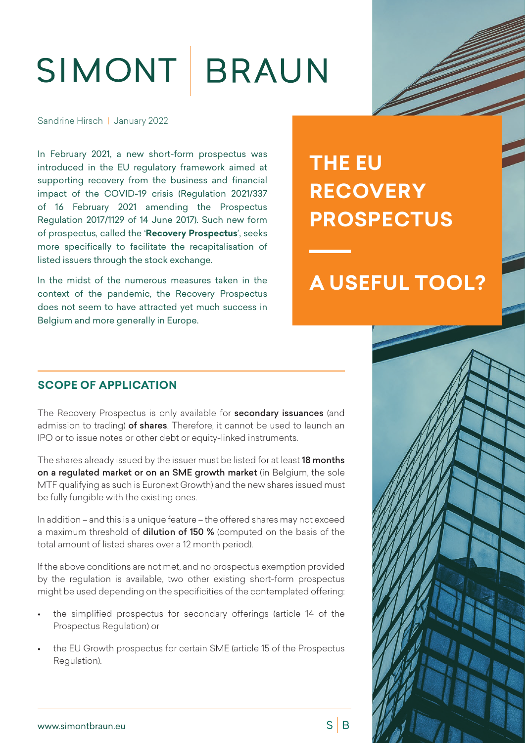# SIMONT BRAUN

Sandrine Hirsch | January 2022

In February 2021, a new short-form prospectus was introduced in the EU regulatory framework aimed at supporting recovery from the business and financial impact of the COVID-19 crisis (Regulation 2021/337 of 16 February 2021 amending the Prospectus Regulation 2017/1129 of 14 June 2017). Such new form of prospectus, called the '**Recovery Prospectus**', seeks more specifically to facilitate the recapitalisation of listed issuers through the stock exchange.

In the midst of the numerous measures taken in the context of the pandemic, the Recovery Prospectus does not seem to have attracted yet much success in Belgium and more generally in Europe.

## **THE EU RECOVERY PROSPECTUS**

### **A USEFUL TOOL?**

#### **SCOPE OF APPLICATION**

The Recovery Prospectus is only available for **secondary issuances** (and admission to trading) of shares. Therefore, it cannot be used to launch an IPO or to issue notes or other debt or equity-linked instruments.

The shares already issued by the issuer must be listed for at least 18 months on a regulated market or on an SME growth market (in Belgium, the sole MTF qualifying as such is Euronext Growth) and the new shares issued must be fully fungible with the existing ones.

In addition – and this is a unique feature – the offered shares may not exceed a maximum threshold of **dilution of 150 %** (computed on the basis of the total amount of listed shares over a 12 month period).

If the above conditions are not met, and no prospectus exemption provided by the regulation is available, two other existing short-form prospectus might be used depending on the specificities of the contemplated offering:

- the simplified prospectus for secondary offerings (article 14 of the Prospectus Regulation) or
- the EU Growth prospectus for certain SME (article 15 of the Prospectus Regulation).



www.simontbraun.eu

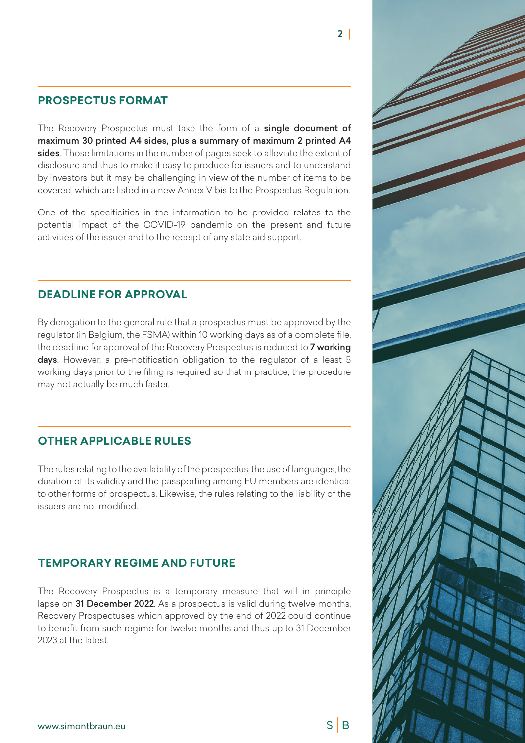#### **PROSPECTUS FORMAT**

The Recovery Prospectus must take the form of a single document of maximum 30 printed A4 sides, plus a summary of maximum 2 printed A4 sides. Those limitations in the number of pages seek to alleviate the extent of disclosure and thus to make it easy to produce for issuers and to understand by investors but it may be challenging in view of the number of items to be covered, which are listed in a new Annex V bis to the Prospectus Regulation.

One of the specificities in the information to be provided relates to the potential impact of the COVID-19 pandemic on the present and future activities of the issuer and to the receipt of any state aid support.

#### **DEADLINE FOR APPROVAL**

By derogation to the general rule that a prospectus must be approved by the regulator (in Belgium, the FSMA) within 10 working days as of a complete file, the deadline for approval of the Recovery Prospectus is reduced to 7 working days. However, a pre-notification obligation to the regulator of a least 5 working days prior to the filing is required so that in practice, the procedure may not actually be much faster.

#### **OTHER APPLICABLE RULES**

The rules relating to the availability of the prospectus, the use of languages, the duration of its validity and the passporting among EU members are identical to other forms of prospectus. Likewise, the rules relating to the liability of the issuers are not modified.

#### **TEMPORARY REGIME AND FUTURE**

The Recovery Prospectus is a temporary measure that will in principle lapse on 31 December 2022. As a prospectus is valid during twelve months, Recovery Prospectuses which approved by the end of 2022 could continue to benefit from such regime for twelve months and thus up to 31 December 2023 at the latest.



2 |